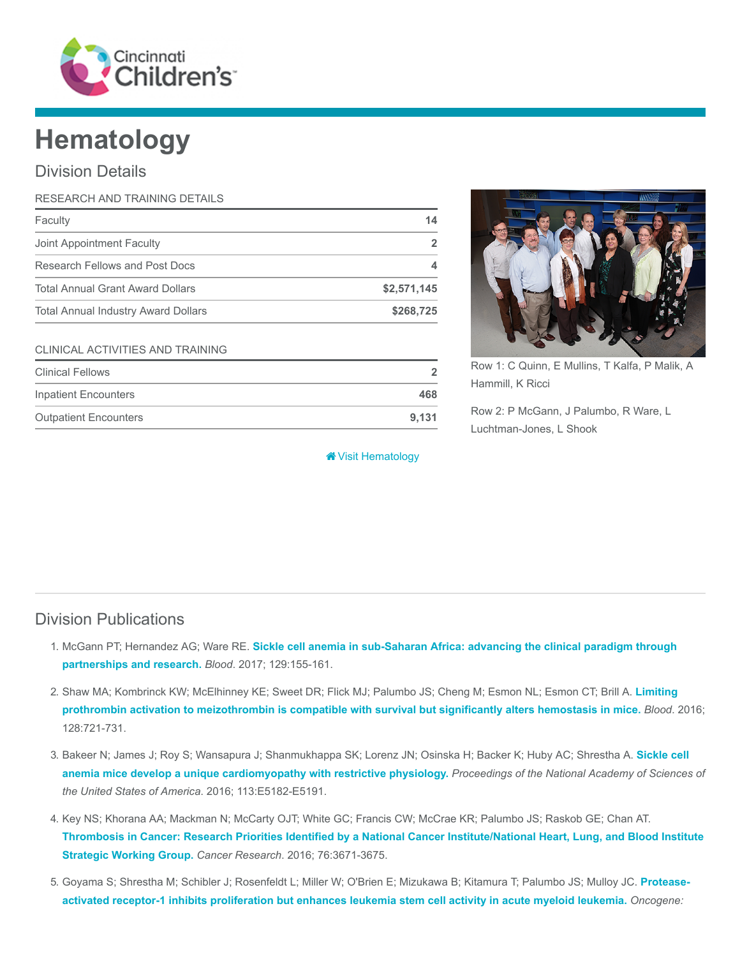

# **Hematology**

## Division Details

| RESEARCH AND TRAINING DETAILS              |             |
|--------------------------------------------|-------------|
| Faculty                                    | 14          |
| Joint Appointment Faculty                  |             |
| Research Fellows and Post Docs             |             |
| <b>Total Annual Grant Award Dollars</b>    | \$2,571,145 |
| <b>Total Annual Industry Award Dollars</b> | \$268,725   |
|                                            |             |

#### CLINICAL ACTIVITIES AND TRAINING

| <b>Clinical Fellows</b>      |       |  |  |
|------------------------------|-------|--|--|
| Inpatient Encounters         | 468   |  |  |
| <b>Outpatient Encounters</b> | 9.131 |  |  |



Row 1: C Quinn, E Mullins, T Kalfa, P Malik, A Hammill, K Ricci

Row 2: P McGann, J Palumbo, R Ware, L Luchtman-Jones, L Shook

**\*** [Visit Hematology](https://www.cincinnatichildrens.org/research/divisions/h/hematology)

#### Division Publications

- 1. McGann PT; Hernandez AG; Ware RE. [Sickle cell anemia in sub-Saharan Africa: advancing the clinical paradigm through](https://www.ncbi.nlm.nih.gov/pubmed/27821508) partnerships and research. Blood. 2017; 129:155-161.
- 2. [Shaw MA; Kombrinck KW; McElhinney KE; Sweet DR; Flick MJ; Palumbo JS; Cheng M; Esmon NL; Esmon CT; Brill A.](https://www.ncbi.nlm.nih.gov/pubmed/27252233) Limiting prothrombin activation to meizothrombin is compatible with survival but significantly alters hemostasis in mice. Blood. 2016; 128:721-731.
- 3. [Bakeer N; James J; Roy S; Wansapura J; Shanmukhappa SK; Lorenz JN; Osinska H; Backer K; Huby AC; Shrestha A.](https://www.ncbi.nlm.nih.gov/pubmed/27503873) Sickle cell anemia mice develop a unique cardiomyopathy with restrictive physiology. Proceedings of the National Academy of Sciences of the United States of America. 2016; 113:E5182-E5191.
- 4. Key NS; Khorana AA; Mackman N; McCarty OJT; White GC; Francis CW; McCrae KR; Palumbo JS; Raskob GE; Chan AT. [Thrombosis in Cancer: Research Priorities Identified by a National Cancer Institute/National Heart, Lung, and Blood Institute](https://www.ncbi.nlm.nih.gov/pubmed/27527638) Strategic Working Group. Cancer Research. 2016; 76:3671-3675.
- 5. [Goyama S; Shrestha M; Schibler J; Rosenfeldt L; Miller W; O'Brien E; Mizukawa B; Kitamura T; Palumbo JS; Mulloy JC.](https://www.ncbi.nlm.nih.gov/pubmed/27819671) Proteaseactivated receptor-1 inhibits proliferation but enhances leukemia stem cell activity in acute myeloid leukemia. Oncogene: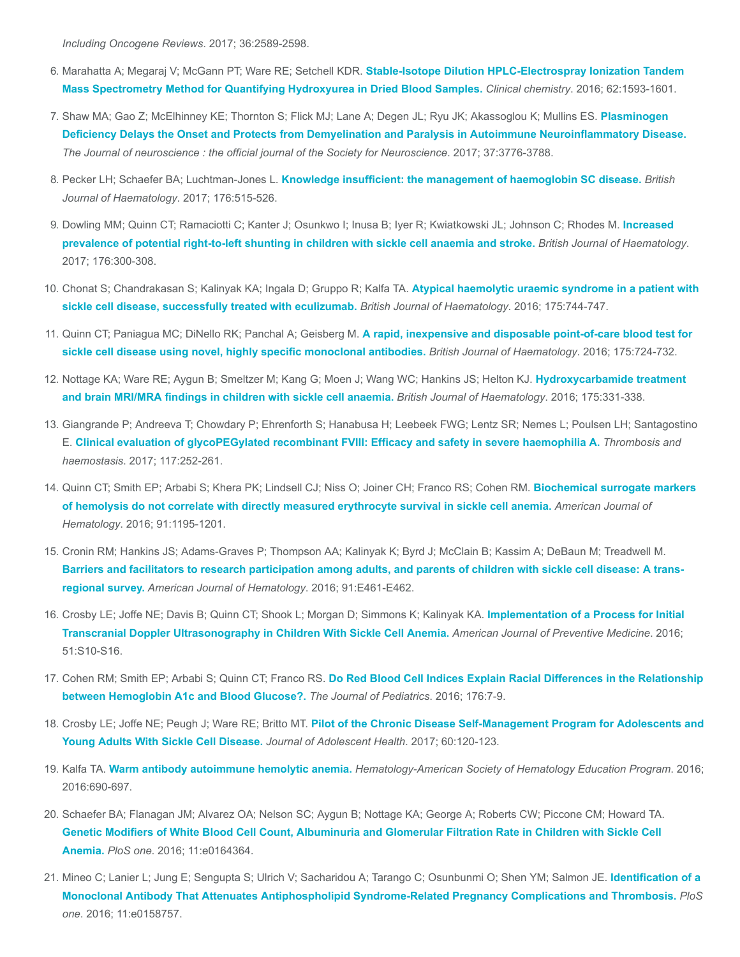Including Oncogene Reviews. 2017; 36:2589-2598.

- 6. Marahatta A; Megaraj V; McGann PT; Ware RE; Setchell KDR. Stable-Isotope Dilution HPLC-Electrospray Ionization Tandem [Mass Spectrometry Method for Quantifying Hydroxyurea in Dried Blood Samples.](https://www.ncbi.nlm.nih.gov/pubmed/27694393) Clinical chemistry. 2016; 62:1593-1601.
- 7. [Shaw MA; Gao Z; McElhinney KE; Thornton S; Flick MJ; Lane A; Degen JL; Ryu JK; Akassoglou K; Mullins ES.](https://www.ncbi.nlm.nih.gov/pubmed/28275164) Plasminogen Deficiency Delays the Onset and Protects from Demyelination and Paralysis in Autoimmune Neuroinflammatory Disease. The Journal of neuroscience : the official journal of the Society for Neuroscience. 2017; 37:3776-3788.
- 8. Pecker LH; Schaefer BA; Luchtman-Jones L. [Knowledge insufficient: the management of haemoglobin SC disease.](https://www.ncbi.nlm.nih.gov/pubmed/27982424) British Journal of Haematology. 2017; 176:515-526.
- 9. [Dowling MM; Quinn CT; Ramaciotti C; Kanter J; Osunkwo I; Inusa B; Iyer R; Kwiatkowski JL; Johnson C; Rhodes M.](https://www.ncbi.nlm.nih.gov/pubmed/27766637) Increased prevalence of potential right-to-left shunting in children with sickle cell anaemia and stroke. British Journal of Haematology. 2017; 176:300-308.
- 10. [Chonat S; Chandrakasan S; Kalinyak KA; Ingala D; Gruppo R; Kalfa TA.](https://www.ncbi.nlm.nih.gov/pubmed/27870017) Atypical haemolytic uraemic syndrome in a patient with sickle cell disease, successfully treated with eculizumab. British Journal of Haematology. 2016; 175:744-747.
- 11. Quinn CT; Paniagua MC; DiNello RK; Panchal A; Geisberg M. A rapid, inexpensive and disposable point-of-care blood test for [sickle cell disease using novel, highly specific monoclonal antibodies.](https://www.ncbi.nlm.nih.gov/pubmed/27605462) British Journal of Haematology. 2016; 175:724-732.
- 12. [Nottage KA; Ware RE; Aygun B; Smeltzer M; Kang G; Moen J; Wang WC; Hankins JS; Helton KJ.](https://www.ncbi.nlm.nih.gov/pubmed/27604981) Hydroxycarbamide treatment and brain MRI/MRA findings in children with sickle cell anaemia. British Journal of Haematology. 2016; 175:331-338.
- 13. Giangrande P; Andreeva T; Chowdary P; Ehrenforth S; Hanabusa H; Leebeek FWG; Lentz SR; Nemes L; Poulsen LH; Santagostino E. [Clinical evaluation of glycoPEGylated recombinant FVIII: Efficacy and safety in severe haemophilia A.](https://www.ncbi.nlm.nih.gov/pubmed/27904904) Thrombosis and haemostasis. 2017; 117:252-261.
- 14. [Quinn CT; Smith EP; Arbabi S; Khera PK; Lindsell CJ; Niss O; Joiner CH; Franco RS; Cohen RM.](https://www.ncbi.nlm.nih.gov/pubmed/27648808) Biochemical surrogate markers of hemolysis do not correlate with directly measured erythrocyte survival in sickle cell anemia. American Journal of Hematology. 2016; 91:1195-1201.
- 15. Cronin RM; Hankins JS; Adams-Graves P; Thompson AA; Kalinyak K; Byrd J; McClain B; Kassim A; DeBaun M; Treadwell M. [Barriers and facilitators to research participation among adults, and parents of children with sickle cell disease: A trans](https://www.ncbi.nlm.nih.gov/pubmed/27421796)regional survey. American Journal of Hematology. 2016; 91:E461-E462.
- 16. [Crosby LE; Joffe NE; Davis B; Quinn CT; Shook L; Morgan D; Simmons K; Kalinyak KA.](https://www.ncbi.nlm.nih.gov/pubmed/27320459) Implementation of a Process for Initial Transcranial Doppler Ultrasonography in Children With Sickle Cell Anemia. American Journal of Preventive Medicine. 2016; 51:S10-S16.
- 17. Cohen RM; Smith EP; Arbabi S; Quinn CT; Franco RS. [Do Red Blood Cell Indices Explain Racial Differences in the Relationship](https://www.ncbi.nlm.nih.gov/pubmed/27318381) between Hemoglobin A1c and Blood Glucose?. The Journal of Pediatrics. 2016; 176:7-9.
- 18. Crosby LE; Joffe NE; Peugh J; Ware RE; Britto MT. [Pilot of the Chronic Disease Self-Management Program for Adolescents and](https://www.ncbi.nlm.nih.gov/pubmed/27793727) Young Adults With Sickle Cell Disease. Journal of Adolescent Health. 2017; 60:120-123.
- 19. Kalfa TA. [Warm antibody autoimmune hemolytic anemia.](https://www.ncbi.nlm.nih.gov/pubmed/27913548) Hematology-American Society of Hematology Education Program. 2016; 2016:690-697.
- 20. Schaefer BA; Flanagan JM; Alvarez OA; Nelson SC; Aygun B; Nottage KA; George A; Roberts CW; Piccone CM; Howard TA. [Genetic Modifiers of White Blood Cell Count, Albuminuria and Glomerular Filtration Rate in Children with Sickle Cell](https://www.ncbi.nlm.nih.gov/pubmed/27711207) Anemia. PloS one. 2016; 11:e0164364.
- 21. [Mineo C; Lanier L; Jung E; Sengupta S; Ulrich V; Sacharidou A; Tarango C; Osunbunmi O; Shen YM; Salmon JE.](https://www.ncbi.nlm.nih.gov/pubmed/27463336) Identification of a Monoclonal Antibody That Attenuates Antiphospholipid Syndrome-Related Pregnancy Complications and Thrombosis. PloS one. 2016; 11:e0158757.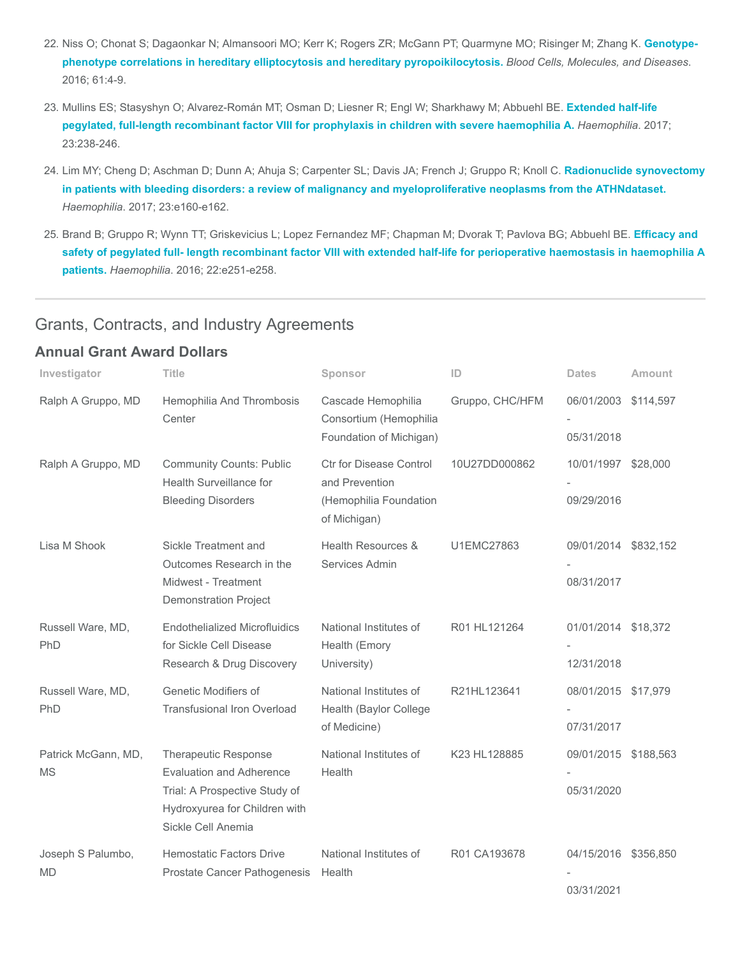- 22. [Niss O; Chonat S; Dagaonkar N; Almansoori MO; Kerr K; Rogers ZR; McGann PT; Quarmyne MO; Risinger M; Zhang K.](https://www.ncbi.nlm.nih.gov/pubmed/27667160) Genotypephenotype correlations in hereditary elliptocytosis and hereditary pyropoikilocytosis. Blood Cells, Molecules, and Diseases. 2016; 61:4-9.
- 23. [Mullins ES; Stasyshyn O; Alvarez-Román MT; Osman D; Liesner R; Engl W; Sharkhawy M; Abbuehl BE.](https://www.ncbi.nlm.nih.gov/pubmed/27891721) Extended half-life pegylated, full-length recombinant factor VIII for prophylaxis in children with severe haemophilia A. Haemophilia. 2017; 23:238-246.
- 24. Lim MY; Cheng D; Aschman D; Dunn A; Ahuja S; Carpenter SL; Davis JA; French J; Gruppo R; Knoll C. Radionuclide synovectomy [in patients with bleeding disorders: a review of malignancy and myeloproliferative neoplasms from the ATHNdataset.](https://www.ncbi.nlm.nih.gov/pubmed/28111845) Haemophilia. 2017; 23:e160-e162.
- 25. [Brand B; Gruppo R; Wynn TT; Griskevicius L; Lopez Fernandez MF; Chapman M; Dvorak T; Pavlova BG; Abbuehl BE.](https://www.ncbi.nlm.nih.gov/pubmed/27328112) Efficacy and safety of pegylated full- length recombinant factor VIII with extended half-life for perioperative haemostasis in haemophilia A patients. Haemophilia. 2016; 22:e251-e258.

## Grants, Contracts, and Industry Agreements

#### Annual Grant Award Dollars

| Investigator                     | <b>Title</b>                                                                                                                                    | Sponsor                                                                             | ID              | <b>Dates</b>                       | Amount |
|----------------------------------|-------------------------------------------------------------------------------------------------------------------------------------------------|-------------------------------------------------------------------------------------|-----------------|------------------------------------|--------|
| Ralph A Gruppo, MD               | Hemophilia And Thrombosis<br>Center                                                                                                             | Cascade Hemophilia<br>Consortium (Hemophilia<br>Foundation of Michigan)             | Gruppo, CHC/HFM | 06/01/2003 \$114,597<br>05/31/2018 |        |
| Ralph A Gruppo, MD               | <b>Community Counts: Public</b><br>Health Surveillance for<br><b>Bleeding Disorders</b>                                                         | Ctr for Disease Control<br>and Prevention<br>(Hemophilia Foundation<br>of Michigan) | 10U27DD000862   | 10/01/1997 \$28,000<br>09/29/2016  |        |
| Lisa M Shook                     | Sickle Treatment and<br>Outcomes Research in the<br>Midwest - Treatment<br><b>Demonstration Project</b>                                         | Health Resources &<br>Services Admin                                                | U1EMC27863      | 09/01/2014 \$832,152<br>08/31/2017 |        |
| Russell Ware, MD,<br>PhD         | <b>Endothelialized Microfluidics</b><br>for Sickle Cell Disease<br>Research & Drug Discovery                                                    | National Institutes of<br>Health (Emory<br>University)                              | R01 HL121264    | 01/01/2014 \$18,372<br>12/31/2018  |        |
| Russell Ware, MD,<br>PhD         | Genetic Modifiers of<br><b>Transfusional Iron Overload</b>                                                                                      | National Institutes of<br>Health (Baylor College<br>of Medicine)                    | R21HL123641     | 08/01/2015 \$17,979<br>07/31/2017  |        |
| Patrick McGann, MD,<br><b>MS</b> | <b>Therapeutic Response</b><br>Evaluation and Adherence<br>Trial: A Prospective Study of<br>Hydroxyurea for Children with<br>Sickle Cell Anemia | National Institutes of<br>Health                                                    | K23 HL128885    | 09/01/2015 \$188,563<br>05/31/2020 |        |
| Joseph S Palumbo,<br><b>MD</b>   | <b>Hemostatic Factors Drive</b><br>Prostate Cancer Pathogenesis                                                                                 | National Institutes of<br>Health                                                    | R01 CA193678    | 04/15/2016 \$356,850<br>03/31/2021 |        |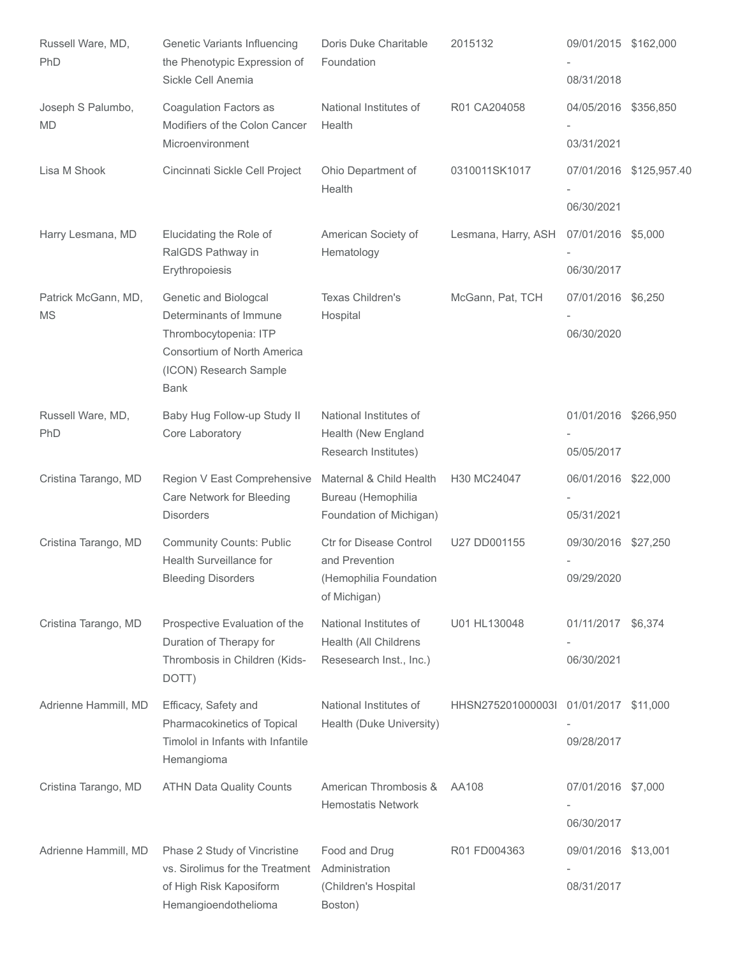| Russell Ware, MD,<br>PhD         | Genetic Variants Influencing<br>the Phenotypic Expression of<br>Sickle Cell Anemia                                                               | Doris Duke Charitable<br>Foundation                                                 | 2015132                               | 09/01/2015 \$162,000<br>08/31/2018 |                         |
|----------------------------------|--------------------------------------------------------------------------------------------------------------------------------------------------|-------------------------------------------------------------------------------------|---------------------------------------|------------------------------------|-------------------------|
| Joseph S Palumbo,<br><b>MD</b>   | Coagulation Factors as<br>Modifiers of the Colon Cancer<br>Microenvironment                                                                      | National Institutes of<br>Health                                                    | R01 CA204058                          | 04/05/2016 \$356,850<br>03/31/2021 |                         |
| Lisa M Shook                     | Cincinnati Sickle Cell Project                                                                                                                   | Ohio Department of<br>Health                                                        | 0310011SK1017                         | 06/30/2021                         | 07/01/2016 \$125,957.40 |
| Harry Lesmana, MD                | Elucidating the Role of<br>RaIGDS Pathway in<br>Erythropoiesis                                                                                   | American Society of<br>Hematology                                                   | Lesmana, Harry, ASH                   | 07/01/2016 \$5,000<br>06/30/2017   |                         |
| Patrick McGann, MD,<br><b>MS</b> | Genetic and Biologcal<br>Determinants of Immune<br>Thrombocytopenia: ITP<br>Consortium of North America<br>(ICON) Research Sample<br><b>Bank</b> | Texas Children's<br>Hospital                                                        | McGann, Pat, TCH                      | 07/01/2016 \$6,250<br>06/30/2020   |                         |
| Russell Ware, MD,<br>PhD         | Baby Hug Follow-up Study II<br>Core Laboratory                                                                                                   | National Institutes of<br>Health (New England<br>Research Institutes)               |                                       | 01/01/2016 \$266,950<br>05/05/2017 |                         |
| Cristina Tarango, MD             | Region V East Comprehensive<br>Care Network for Bleeding<br><b>Disorders</b>                                                                     | Maternal & Child Health<br>Bureau (Hemophilia<br>Foundation of Michigan)            | H30 MC24047                           | 06/01/2016 \$22,000<br>05/31/2021  |                         |
| Cristina Tarango, MD             | <b>Community Counts: Public</b><br>Health Surveillance for<br><b>Bleeding Disorders</b>                                                          | Ctr for Disease Control<br>and Prevention<br>(Hemophilia Foundation<br>of Michigan) | U27 DD001155                          | 09/30/2016 \$27,250<br>09/29/2020  |                         |
| Cristina Tarango, MD             | Prospective Evaluation of the<br>Duration of Therapy for<br>Thrombosis in Children (Kids-<br>DOTT)                                               | National Institutes of<br>Health (All Childrens<br>Resesearch Inst., Inc.)          | U01 HL130048                          | 01/11/2017 \$6,374<br>06/30/2021   |                         |
| Adrienne Hammill, MD             | Efficacy, Safety and<br>Pharmacokinetics of Topical<br>Timolol in Infants with Infantile<br>Hemangioma                                           | National Institutes of<br>Health (Duke University)                                  | HHSN275201000003l 01/01/2017 \$11,000 | 09/28/2017                         |                         |
| Cristina Tarango, MD             | <b>ATHN Data Quality Counts</b>                                                                                                                  | American Thrombosis &<br><b>Hemostatis Network</b>                                  | AA108                                 | 07/01/2016 \$7,000<br>06/30/2017   |                         |
| Adrienne Hammill, MD             | Phase 2 Study of Vincristine<br>vs. Sirolimus for the Treatment<br>of High Risk Kaposiform<br>Hemangioendothelioma                               | Food and Drug<br>Administration<br>(Children's Hospital<br>Boston)                  | R01 FD004363                          | 09/01/2016 \$13,001<br>08/31/2017  |                         |